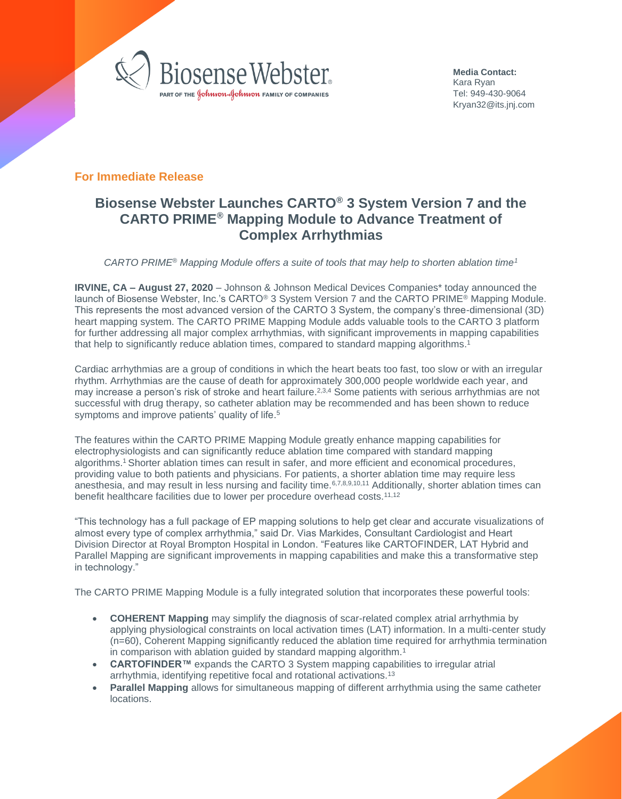

<span id="page-0-0"></span>**Media Contact:**  Kara Ryan Tel: 949-430-9064 Kryan32@its.jnj.com

## **For Immediate Release**

## **Biosense Webster Launches CARTO® 3 System Version 7 and the CARTO PRIME® Mapping Module to Advance Treatment of Complex Arrhythmias**

*CARTO PRIME*® *Mapping Module offers a suite of tools that may help to shorten ablation time[1](#page-0-0)*

**IRVINE, CA – August 27, 2020** – Johnson & Johnson Medical Devices Companies\* today announced the launch of Biosense Webster, Inc.'s CARTO® 3 System Version 7 and the CARTO PRIME® Mapping Module. This represents the most advanced version of the CARTO 3 System, the company's three-dimensional (3D) heart mapping system. The CARTO PRIME Mapping Module adds valuable tools to the CARTO 3 platform for further addressing all major complex arrhythmias, with significant improvements in mapping capabilities that help to significantly reduce ablation times, compared to standard mapping algorithms. 1

Cardiac arrhythmias are a group of conditions in which the heart beats too fast, too slow or with an irregular rhythm. Arrhythmias are the cause of death for approximately 300,000 people worldwide each year, and may increase a person's risk of stroke and heart failure.<sup>2,3,4</sup> Some patients with serious arrhythmias are not successful with drug therapy, so catheter ablation may be recommended and has been shown to reduce symptoms and improve patients' quality of life.<sup>5</sup>

The features within the CARTO PRIME Mapping Module greatly enhance mapping capabilities for electrophysiologists and can significantly reduce ablation time compared with standard mapping algorithms. <sup>1</sup> Shorter ablation times can result in safer, and more efficient and economical procedures, providing value to both patients and physicians. For patients, a shorter ablation time may require less anesthesia, and may result in less nursing and facility time.<sup>6,7,8,9,10,11</sup> Additionally, shorter ablation times can benefit healthcare facilities due to lower per procedure overhead costs.<sup>11,12</sup>

"This technology has a full package of EP mapping solutions to help get clear and accurate visualizations of almost every type of complex arrhythmia," said Dr. Vias Markides, Consultant Cardiologist and Heart Division Director at Royal Brompton Hospital in London. "Features like CARTOFINDER, LAT Hybrid and Parallel Mapping are significant improvements in mapping capabilities and make this a transformative step in technology."

The CARTO PRIME Mapping Module is a fully integrated solution that incorporates these powerful tools:

- **COHERENT Mapping** may simplify the diagnosis of scar-related complex atrial arrhythmia by applying physiological constraints on local activation times (LAT) information. In a multi-center study (n=60), Coherent Mapping significantly reduced the ablation time required for arrhythmia termination in comparison with ablation guided by standard mapping algorithm.<sup>1</sup>
- **CARTOFINDER™** expands the CARTO 3 System mapping capabilities to irregular atrial arrhythmia, identifying repetitive focal and rotational activations.<sup>13</sup>
- **Parallel Mapping** allows for simultaneous mapping of different arrhythmia using the same catheter locations.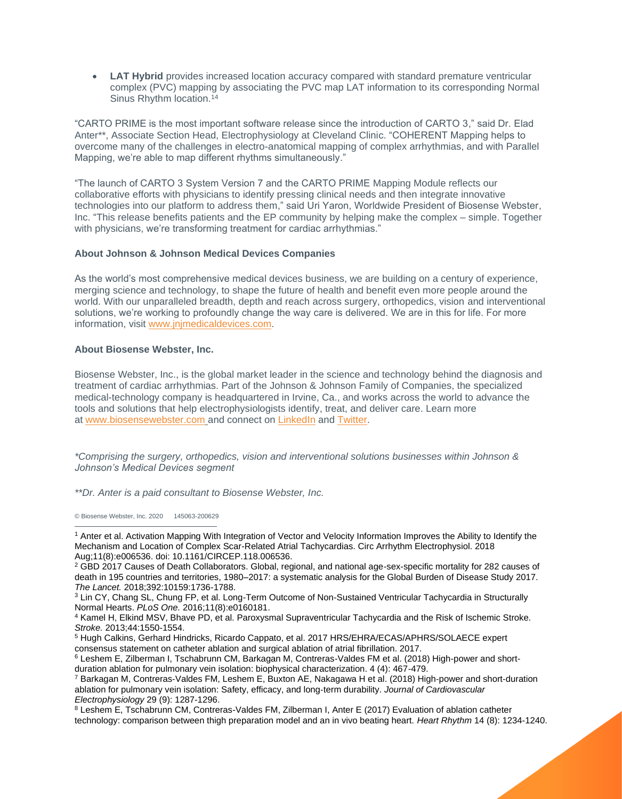• **LAT Hybrid** provides increased location accuracy compared with standard premature ventricular complex (PVC) mapping by associating the PVC map LAT information to its corresponding Normal Sinus Rhythm location.<sup>14</sup>

"CARTO PRIME is the most important software release since the introduction of CARTO 3," said Dr. Elad Anter\*\*, Associate Section Head, Electrophysiology at Cleveland Clinic. "COHERENT Mapping helps to overcome many of the challenges in electro-anatomical mapping of complex arrhythmias, and with Parallel Mapping, we're able to map different rhythms simultaneously."

"The launch of CARTO 3 System Version 7 and the CARTO PRIME Mapping Module reflects our collaborative efforts with physicians to identify pressing clinical needs and then integrate innovative technologies into our platform to address them," said Uri Yaron, Worldwide President of Biosense Webster, Inc. "This release benefits patients and the EP community by helping make the complex – simple. Together with physicians, we're transforming treatment for cardiac arrhythmias."

## **About Johnson & Johnson Medical Devices Companies**

As the world's most comprehensive medical devices business, we are building on a century of experience, merging science and technology, to shape the future of health and benefit even more people around the world. With our unparalleled breadth, depth and reach across surgery, orthopedics, vision and interventional solutions, we're working to profoundly change the way care is delivered. We are in this for life. For more information, visit [www.jnjmedicaldevices.com.](http://www.jnjmedicaldevices.com/)

## **About Biosense Webster, Inc.**

Biosense Webster, Inc., is the global market leader in the science and technology behind the diagnosis and treatment of cardiac arrhythmias. Part of the Johnson & Johnson Family of Companies, the specialized medical-technology company is headquartered in Irvine, Ca., and works across the world to advance the tools and solutions that help electrophysiologists identify, treat, and deliver care. Learn more at [www.biosensewebster.com](http://www.biosensewebster.com/) and connect on [LinkedIn](https://www.linkedin.com/company/biosense-webster/) and [Twitter.](https://twitter.com/biosensewebster)

*\*Comprising the surgery, orthopedics, vision and interventional solutions businesses within Johnson & Johnson's Medical Devices segment*

*\*\*Dr. Anter is a paid consultant to Biosense Webster, Inc.*

© Biosense Webster, Inc. 2020 145063-200629

<sup>1</sup> Anter et al. Activation Mapping With Integration of Vector and Velocity Information Improves the Ability to Identify the Mechanism and Location of Complex Scar-Related Atrial Tachycardias. Circ Arrhythm Electrophysiol. 2018 Aug;11(8):e006536. doi: 10.1161/CIRCEP.118.006536.

<sup>&</sup>lt;sup>2</sup> GBD 2017 Causes of Death Collaborators. Global, regional, and national age-sex-specific mortality for 282 causes of death in 195 countries and territories, 1980–2017: a systematic analysis for the Global Burden of Disease Study 2017. *The Lancet.* 2018;392:10159:1736-1788.

<sup>&</sup>lt;sup>3</sup> Lin CY, Chang SL, Chung FP, et al. Long-Term Outcome of Non-Sustained Ventricular Tachycardia in Structurally Normal Hearts. *PLoS One.* 2016;11(8):e0160181.

<sup>&</sup>lt;sup>4</sup> Kamel H, Elkind MSV, Bhave PD, et al. Paroxysmal Supraventricular Tachycardia and the Risk of Ischemic Stroke. *Stroke.* 2013;44:1550-1554.

<sup>&</sup>lt;sup>5</sup> Hugh Calkins, Gerhard Hindricks, Ricardo Cappato, et al. 2017 HRS/EHRA/ECAS/APHRS/SOLAECE expert consensus statement on catheter ablation and surgical ablation of atrial fibrillation. 2017.

<sup>6</sup> Leshem E, Zilberman I, Tschabrunn CM, Barkagan M, Contreras-Valdes FM et al. (2018) High-power and shortduration ablation for pulmonary vein isolation: biophysical characterization. 4 (4): 467-479.

<sup>7</sup> Barkagan M, Contreras‐Valdes FM, Leshem E, Buxton AE, Nakagawa H et al. (2018) High‐power and short‐duration ablation for pulmonary vein isolation: Safety, efficacy, and long‐term durability. *Journal of Cardiovascular Electrophysiology* 29 (9): 1287-1296.

<sup>&</sup>lt;sup>8</sup> Leshem E, Tschabrunn CM, Contreras-Valdes FM, Zilberman I, Anter E (2017) Evaluation of ablation catheter technology: comparison between thigh preparation model and an in vivo beating heart. *Heart Rhythm* 14 (8): 1234-1240.